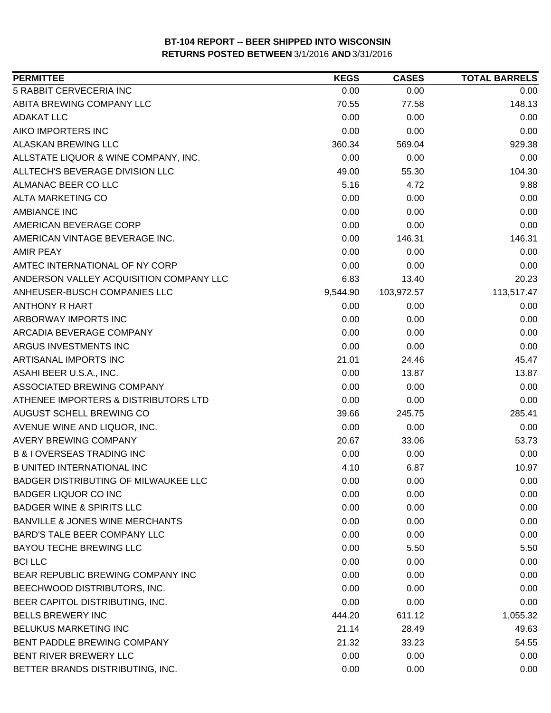| <b>PERMITTEE</b>                           | <b>KEGS</b> | <b>CASES</b> | <b>TOTAL BARRELS</b> |
|--------------------------------------------|-------------|--------------|----------------------|
| 5 RABBIT CERVECERIA INC                    | 0.00        | 0.00         | 0.00                 |
| ABITA BREWING COMPANY LLC                  | 70.55       | 77.58        | 148.13               |
| ADAKAT LLC                                 | 0.00        | 0.00         | 0.00                 |
| AIKO IMPORTERS INC                         | 0.00        | 0.00         | 0.00                 |
| ALASKAN BREWING LLC                        | 360.34      | 569.04       | 929.38               |
| ALLSTATE LIQUOR & WINE COMPANY, INC.       | 0.00        | 0.00         | 0.00                 |
| ALLTECH'S BEVERAGE DIVISION LLC            | 49.00       | 55.30        | 104.30               |
| ALMANAC BEER CO LLC                        | 5.16        | 4.72         | 9.88                 |
| <b>ALTA MARKETING CO</b>                   | 0.00        | 0.00         | 0.00                 |
| <b>AMBIANCE INC</b>                        | 0.00        | 0.00         | 0.00                 |
| AMERICAN BEVERAGE CORP                     | 0.00        | 0.00         | 0.00                 |
| AMERICAN VINTAGE BEVERAGE INC.             | 0.00        | 146.31       | 146.31               |
| <b>AMIR PEAY</b>                           | 0.00        | 0.00         | 0.00                 |
| AMTEC INTERNATIONAL OF NY CORP             | 0.00        | 0.00         | 0.00                 |
| ANDERSON VALLEY ACQUISITION COMPANY LLC    | 6.83        | 13.40        | 20.23                |
| ANHEUSER-BUSCH COMPANIES LLC               | 9,544.90    | 103,972.57   | 113,517.47           |
| <b>ANTHONY R HART</b>                      | 0.00        | 0.00         | 0.00                 |
| ARBORWAY IMPORTS INC                       | 0.00        | 0.00         | 0.00                 |
| ARCADIA BEVERAGE COMPANY                   | 0.00        | 0.00         | 0.00                 |
| ARGUS INVESTMENTS INC                      | 0.00        | 0.00         | 0.00                 |
| ARTISANAL IMPORTS INC                      | 21.01       | 24.46        | 45.47                |
| ASAHI BEER U.S.A., INC.                    | 0.00        | 13.87        | 13.87                |
| ASSOCIATED BREWING COMPANY                 | 0.00        | 0.00         | 0.00                 |
| ATHENEE IMPORTERS & DISTRIBUTORS LTD       | 0.00        | 0.00         | 0.00                 |
| AUGUST SCHELL BREWING CO                   | 39.66       | 245.75       | 285.41               |
| AVENUE WINE AND LIQUOR, INC.               | 0.00        | 0.00         | 0.00                 |
| <b>AVERY BREWING COMPANY</b>               | 20.67       | 33.06        | 53.73                |
| <b>B &amp; I OVERSEAS TRADING INC</b>      | 0.00        | 0.00         | 0.00                 |
| <b>B UNITED INTERNATIONAL INC</b>          | 4.10        | 6.87         | 10.97                |
| BADGER DISTRIBUTING OF MILWAUKEE LLC       | 0.00        | 0.00         | 0.00                 |
| <b>BADGER LIQUOR CO INC</b>                | 0.00        | 0.00         | 0.00                 |
| <b>BADGER WINE &amp; SPIRITS LLC</b>       | 0.00        | 0.00         | 0.00                 |
| <b>BANVILLE &amp; JONES WINE MERCHANTS</b> | 0.00        | 0.00         | 0.00                 |
| <b>BARD'S TALE BEER COMPANY LLC</b>        | 0.00        | 0.00         | 0.00                 |
| <b>BAYOU TECHE BREWING LLC</b>             | 0.00        | 5.50         | 5.50                 |
| <b>BCI LLC</b>                             | 0.00        | 0.00         | 0.00                 |
| BEAR REPUBLIC BREWING COMPANY INC          | 0.00        | 0.00         | 0.00                 |
| BEECHWOOD DISTRIBUTORS, INC.               | 0.00        | 0.00         | 0.00                 |
| BEER CAPITOL DISTRIBUTING, INC.            | 0.00        | 0.00         | 0.00                 |
| <b>BELLS BREWERY INC</b>                   | 444.20      | 611.12       | 1,055.32             |
| BELUKUS MARKETING INC                      | 21.14       | 28.49        | 49.63                |
| BENT PADDLE BREWING COMPANY                | 21.32       | 33.23        | 54.55                |
| BENT RIVER BREWERY LLC                     | 0.00        | 0.00         | 0.00                 |
| BETTER BRANDS DISTRIBUTING, INC.           | 0.00        | 0.00         | 0.00                 |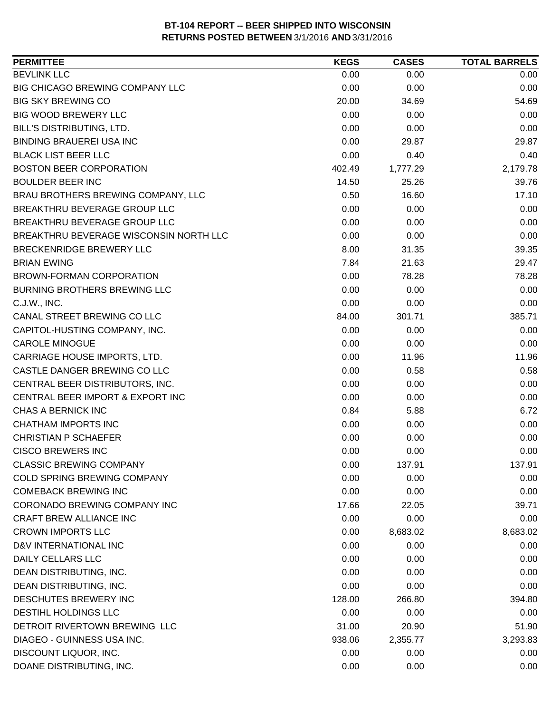| <b>BEVLINK LLC</b><br>0.00<br>0.00<br>0.00<br>BIG CHICAGO BREWING COMPANY LLC<br>0.00<br>0.00<br>0.00<br><b>BIG SKY BREWING CO</b><br>20.00<br>34.69<br>54.69<br><b>BIG WOOD BREWERY LLC</b><br>0.00<br>0.00<br>0.00<br>BILL'S DISTRIBUTING, LTD.<br>0.00<br>0.00<br>0.00<br><b>BINDING BRAUEREI USA INC</b><br>0.00<br>29.87<br>29.87<br><b>BLACK LIST BEER LLC</b><br>0.00<br>0.40<br>0.40<br><b>BOSTON BEER CORPORATION</b><br>1,777.29<br>2,179.78<br>402.49<br><b>BOULDER BEER INC</b><br>14.50<br>25.26<br>39.76<br>BRAU BROTHERS BREWING COMPANY, LLC<br>0.50<br>17.10<br>16.60<br>BREAKTHRU BEVERAGE GROUP LLC<br>0.00<br>0.00<br>0.00<br>BREAKTHRU BEVERAGE GROUP LLC<br>0.00<br>0.00<br>0.00<br>BREAKTHRU BEVERAGE WISCONSIN NORTH LLC<br>0.00<br>0.00<br>0.00<br>BRECKENRIDGE BREWERY LLC<br>8.00<br>31.35<br>39.35<br>7.84<br>29.47<br><b>BRIAN EWING</b><br>21.63<br>0.00<br>BROWN-FORMAN CORPORATION<br>78.28<br>78.28<br>0.00<br><b>BURNING BROTHERS BREWING LLC</b><br>0.00<br>0.00<br>0.00<br>C.J.W., INC.<br>0.00<br>0.00<br>CANAL STREET BREWING CO LLC<br>385.71<br>84.00<br>301.71<br>0.00<br>CAPITOL-HUSTING COMPANY, INC.<br>0.00<br>0.00<br>0.00<br>0.00<br>0.00<br><b>CAROLE MINOGUE</b><br>CARRIAGE HOUSE IMPORTS, LTD.<br>0.00<br>11.96<br>11.96<br>CASTLE DANGER BREWING CO LLC<br>0.00<br>0.58<br>0.58<br>CENTRAL BEER DISTRIBUTORS, INC.<br>0.00<br>0.00<br>0.00<br>0.00<br>CENTRAL BEER IMPORT & EXPORT INC<br>0.00<br>0.00<br>CHAS A BERNICK INC<br>0.84<br>6.72<br>5.88<br><b>CHATHAM IMPORTS INC</b><br>0.00<br>0.00<br>0.00<br><b>CHRISTIAN P SCHAEFER</b><br>0.00<br>0.00<br>0.00<br><b>CISCO BREWERS INC</b><br>0.00<br>0.00<br>0.00<br><b>CLASSIC BREWING COMPANY</b><br>0.00<br>137.91<br>137.91<br>0.00<br><b>COLD SPRING BREWING COMPANY</b><br>0.00<br>0.00<br><b>COMEBACK BREWING INC</b><br>0.00<br>0.00<br>0.00<br>CORONADO BREWING COMPANY INC<br>17.66<br>22.05<br>39.71<br>CRAFT BREW ALLIANCE INC<br>0.00<br>0.00<br>0.00<br><b>CROWN IMPORTS LLC</b><br>0.00<br>8,683.02<br>8,683.02<br>D&V INTERNATIONAL INC<br>0.00<br>0.00<br>0.00<br><b>DAILY CELLARS LLC</b><br>0.00<br>0.00<br>0.00<br>DEAN DISTRIBUTING, INC.<br>0.00<br>0.00<br>0.00<br>DEAN DISTRIBUTING, INC.<br>0.00<br>0.00<br>0.00<br>DESCHUTES BREWERY INC<br>128.00<br>266.80<br>394.80<br>DESTIHL HOLDINGS LLC<br>0.00<br>0.00<br>0.00<br>DETROIT RIVERTOWN BREWING LLC<br>31.00<br>20.90<br>51.90<br>DIAGEO - GUINNESS USA INC.<br>938.06<br>2,355.77<br>3,293.83<br>DISCOUNT LIQUOR, INC.<br>0.00<br>0.00<br>0.00<br>DOANE DISTRIBUTING, INC.<br>0.00<br>0.00<br>0.00 | <b>PERMITTEE</b> | <b>KEGS</b> | <b>CASES</b> | <b>TOTAL BARRELS</b> |
|-------------------------------------------------------------------------------------------------------------------------------------------------------------------------------------------------------------------------------------------------------------------------------------------------------------------------------------------------------------------------------------------------------------------------------------------------------------------------------------------------------------------------------------------------------------------------------------------------------------------------------------------------------------------------------------------------------------------------------------------------------------------------------------------------------------------------------------------------------------------------------------------------------------------------------------------------------------------------------------------------------------------------------------------------------------------------------------------------------------------------------------------------------------------------------------------------------------------------------------------------------------------------------------------------------------------------------------------------------------------------------------------------------------------------------------------------------------------------------------------------------------------------------------------------------------------------------------------------------------------------------------------------------------------------------------------------------------------------------------------------------------------------------------------------------------------------------------------------------------------------------------------------------------------------------------------------------------------------------------------------------------------------------------------------------------------------------------------------------------------------------------------------------------------------------------------------------------------------------------------------------------------------------------------------------------------------------------------------------------------------------------------------------------------------------------------------------------------------------------------------------------------------------------------------------------------------------------------|------------------|-------------|--------------|----------------------|
|                                                                                                                                                                                                                                                                                                                                                                                                                                                                                                                                                                                                                                                                                                                                                                                                                                                                                                                                                                                                                                                                                                                                                                                                                                                                                                                                                                                                                                                                                                                                                                                                                                                                                                                                                                                                                                                                                                                                                                                                                                                                                                                                                                                                                                                                                                                                                                                                                                                                                                                                                                                           |                  |             |              |                      |
|                                                                                                                                                                                                                                                                                                                                                                                                                                                                                                                                                                                                                                                                                                                                                                                                                                                                                                                                                                                                                                                                                                                                                                                                                                                                                                                                                                                                                                                                                                                                                                                                                                                                                                                                                                                                                                                                                                                                                                                                                                                                                                                                                                                                                                                                                                                                                                                                                                                                                                                                                                                           |                  |             |              |                      |
|                                                                                                                                                                                                                                                                                                                                                                                                                                                                                                                                                                                                                                                                                                                                                                                                                                                                                                                                                                                                                                                                                                                                                                                                                                                                                                                                                                                                                                                                                                                                                                                                                                                                                                                                                                                                                                                                                                                                                                                                                                                                                                                                                                                                                                                                                                                                                                                                                                                                                                                                                                                           |                  |             |              |                      |
|                                                                                                                                                                                                                                                                                                                                                                                                                                                                                                                                                                                                                                                                                                                                                                                                                                                                                                                                                                                                                                                                                                                                                                                                                                                                                                                                                                                                                                                                                                                                                                                                                                                                                                                                                                                                                                                                                                                                                                                                                                                                                                                                                                                                                                                                                                                                                                                                                                                                                                                                                                                           |                  |             |              |                      |
|                                                                                                                                                                                                                                                                                                                                                                                                                                                                                                                                                                                                                                                                                                                                                                                                                                                                                                                                                                                                                                                                                                                                                                                                                                                                                                                                                                                                                                                                                                                                                                                                                                                                                                                                                                                                                                                                                                                                                                                                                                                                                                                                                                                                                                                                                                                                                                                                                                                                                                                                                                                           |                  |             |              |                      |
|                                                                                                                                                                                                                                                                                                                                                                                                                                                                                                                                                                                                                                                                                                                                                                                                                                                                                                                                                                                                                                                                                                                                                                                                                                                                                                                                                                                                                                                                                                                                                                                                                                                                                                                                                                                                                                                                                                                                                                                                                                                                                                                                                                                                                                                                                                                                                                                                                                                                                                                                                                                           |                  |             |              |                      |
|                                                                                                                                                                                                                                                                                                                                                                                                                                                                                                                                                                                                                                                                                                                                                                                                                                                                                                                                                                                                                                                                                                                                                                                                                                                                                                                                                                                                                                                                                                                                                                                                                                                                                                                                                                                                                                                                                                                                                                                                                                                                                                                                                                                                                                                                                                                                                                                                                                                                                                                                                                                           |                  |             |              |                      |
|                                                                                                                                                                                                                                                                                                                                                                                                                                                                                                                                                                                                                                                                                                                                                                                                                                                                                                                                                                                                                                                                                                                                                                                                                                                                                                                                                                                                                                                                                                                                                                                                                                                                                                                                                                                                                                                                                                                                                                                                                                                                                                                                                                                                                                                                                                                                                                                                                                                                                                                                                                                           |                  |             |              |                      |
|                                                                                                                                                                                                                                                                                                                                                                                                                                                                                                                                                                                                                                                                                                                                                                                                                                                                                                                                                                                                                                                                                                                                                                                                                                                                                                                                                                                                                                                                                                                                                                                                                                                                                                                                                                                                                                                                                                                                                                                                                                                                                                                                                                                                                                                                                                                                                                                                                                                                                                                                                                                           |                  |             |              |                      |
|                                                                                                                                                                                                                                                                                                                                                                                                                                                                                                                                                                                                                                                                                                                                                                                                                                                                                                                                                                                                                                                                                                                                                                                                                                                                                                                                                                                                                                                                                                                                                                                                                                                                                                                                                                                                                                                                                                                                                                                                                                                                                                                                                                                                                                                                                                                                                                                                                                                                                                                                                                                           |                  |             |              |                      |
|                                                                                                                                                                                                                                                                                                                                                                                                                                                                                                                                                                                                                                                                                                                                                                                                                                                                                                                                                                                                                                                                                                                                                                                                                                                                                                                                                                                                                                                                                                                                                                                                                                                                                                                                                                                                                                                                                                                                                                                                                                                                                                                                                                                                                                                                                                                                                                                                                                                                                                                                                                                           |                  |             |              |                      |
|                                                                                                                                                                                                                                                                                                                                                                                                                                                                                                                                                                                                                                                                                                                                                                                                                                                                                                                                                                                                                                                                                                                                                                                                                                                                                                                                                                                                                                                                                                                                                                                                                                                                                                                                                                                                                                                                                                                                                                                                                                                                                                                                                                                                                                                                                                                                                                                                                                                                                                                                                                                           |                  |             |              |                      |
|                                                                                                                                                                                                                                                                                                                                                                                                                                                                                                                                                                                                                                                                                                                                                                                                                                                                                                                                                                                                                                                                                                                                                                                                                                                                                                                                                                                                                                                                                                                                                                                                                                                                                                                                                                                                                                                                                                                                                                                                                                                                                                                                                                                                                                                                                                                                                                                                                                                                                                                                                                                           |                  |             |              |                      |
|                                                                                                                                                                                                                                                                                                                                                                                                                                                                                                                                                                                                                                                                                                                                                                                                                                                                                                                                                                                                                                                                                                                                                                                                                                                                                                                                                                                                                                                                                                                                                                                                                                                                                                                                                                                                                                                                                                                                                                                                                                                                                                                                                                                                                                                                                                                                                                                                                                                                                                                                                                                           |                  |             |              |                      |
|                                                                                                                                                                                                                                                                                                                                                                                                                                                                                                                                                                                                                                                                                                                                                                                                                                                                                                                                                                                                                                                                                                                                                                                                                                                                                                                                                                                                                                                                                                                                                                                                                                                                                                                                                                                                                                                                                                                                                                                                                                                                                                                                                                                                                                                                                                                                                                                                                                                                                                                                                                                           |                  |             |              |                      |
|                                                                                                                                                                                                                                                                                                                                                                                                                                                                                                                                                                                                                                                                                                                                                                                                                                                                                                                                                                                                                                                                                                                                                                                                                                                                                                                                                                                                                                                                                                                                                                                                                                                                                                                                                                                                                                                                                                                                                                                                                                                                                                                                                                                                                                                                                                                                                                                                                                                                                                                                                                                           |                  |             |              |                      |
|                                                                                                                                                                                                                                                                                                                                                                                                                                                                                                                                                                                                                                                                                                                                                                                                                                                                                                                                                                                                                                                                                                                                                                                                                                                                                                                                                                                                                                                                                                                                                                                                                                                                                                                                                                                                                                                                                                                                                                                                                                                                                                                                                                                                                                                                                                                                                                                                                                                                                                                                                                                           |                  |             |              |                      |
|                                                                                                                                                                                                                                                                                                                                                                                                                                                                                                                                                                                                                                                                                                                                                                                                                                                                                                                                                                                                                                                                                                                                                                                                                                                                                                                                                                                                                                                                                                                                                                                                                                                                                                                                                                                                                                                                                                                                                                                                                                                                                                                                                                                                                                                                                                                                                                                                                                                                                                                                                                                           |                  |             |              |                      |
|                                                                                                                                                                                                                                                                                                                                                                                                                                                                                                                                                                                                                                                                                                                                                                                                                                                                                                                                                                                                                                                                                                                                                                                                                                                                                                                                                                                                                                                                                                                                                                                                                                                                                                                                                                                                                                                                                                                                                                                                                                                                                                                                                                                                                                                                                                                                                                                                                                                                                                                                                                                           |                  |             |              |                      |
|                                                                                                                                                                                                                                                                                                                                                                                                                                                                                                                                                                                                                                                                                                                                                                                                                                                                                                                                                                                                                                                                                                                                                                                                                                                                                                                                                                                                                                                                                                                                                                                                                                                                                                                                                                                                                                                                                                                                                                                                                                                                                                                                                                                                                                                                                                                                                                                                                                                                                                                                                                                           |                  |             |              |                      |
|                                                                                                                                                                                                                                                                                                                                                                                                                                                                                                                                                                                                                                                                                                                                                                                                                                                                                                                                                                                                                                                                                                                                                                                                                                                                                                                                                                                                                                                                                                                                                                                                                                                                                                                                                                                                                                                                                                                                                                                                                                                                                                                                                                                                                                                                                                                                                                                                                                                                                                                                                                                           |                  |             |              |                      |
|                                                                                                                                                                                                                                                                                                                                                                                                                                                                                                                                                                                                                                                                                                                                                                                                                                                                                                                                                                                                                                                                                                                                                                                                                                                                                                                                                                                                                                                                                                                                                                                                                                                                                                                                                                                                                                                                                                                                                                                                                                                                                                                                                                                                                                                                                                                                                                                                                                                                                                                                                                                           |                  |             |              |                      |
|                                                                                                                                                                                                                                                                                                                                                                                                                                                                                                                                                                                                                                                                                                                                                                                                                                                                                                                                                                                                                                                                                                                                                                                                                                                                                                                                                                                                                                                                                                                                                                                                                                                                                                                                                                                                                                                                                                                                                                                                                                                                                                                                                                                                                                                                                                                                                                                                                                                                                                                                                                                           |                  |             |              |                      |
|                                                                                                                                                                                                                                                                                                                                                                                                                                                                                                                                                                                                                                                                                                                                                                                                                                                                                                                                                                                                                                                                                                                                                                                                                                                                                                                                                                                                                                                                                                                                                                                                                                                                                                                                                                                                                                                                                                                                                                                                                                                                                                                                                                                                                                                                                                                                                                                                                                                                                                                                                                                           |                  |             |              |                      |
|                                                                                                                                                                                                                                                                                                                                                                                                                                                                                                                                                                                                                                                                                                                                                                                                                                                                                                                                                                                                                                                                                                                                                                                                                                                                                                                                                                                                                                                                                                                                                                                                                                                                                                                                                                                                                                                                                                                                                                                                                                                                                                                                                                                                                                                                                                                                                                                                                                                                                                                                                                                           |                  |             |              |                      |
|                                                                                                                                                                                                                                                                                                                                                                                                                                                                                                                                                                                                                                                                                                                                                                                                                                                                                                                                                                                                                                                                                                                                                                                                                                                                                                                                                                                                                                                                                                                                                                                                                                                                                                                                                                                                                                                                                                                                                                                                                                                                                                                                                                                                                                                                                                                                                                                                                                                                                                                                                                                           |                  |             |              |                      |
|                                                                                                                                                                                                                                                                                                                                                                                                                                                                                                                                                                                                                                                                                                                                                                                                                                                                                                                                                                                                                                                                                                                                                                                                                                                                                                                                                                                                                                                                                                                                                                                                                                                                                                                                                                                                                                                                                                                                                                                                                                                                                                                                                                                                                                                                                                                                                                                                                                                                                                                                                                                           |                  |             |              |                      |
|                                                                                                                                                                                                                                                                                                                                                                                                                                                                                                                                                                                                                                                                                                                                                                                                                                                                                                                                                                                                                                                                                                                                                                                                                                                                                                                                                                                                                                                                                                                                                                                                                                                                                                                                                                                                                                                                                                                                                                                                                                                                                                                                                                                                                                                                                                                                                                                                                                                                                                                                                                                           |                  |             |              |                      |
|                                                                                                                                                                                                                                                                                                                                                                                                                                                                                                                                                                                                                                                                                                                                                                                                                                                                                                                                                                                                                                                                                                                                                                                                                                                                                                                                                                                                                                                                                                                                                                                                                                                                                                                                                                                                                                                                                                                                                                                                                                                                                                                                                                                                                                                                                                                                                                                                                                                                                                                                                                                           |                  |             |              |                      |
|                                                                                                                                                                                                                                                                                                                                                                                                                                                                                                                                                                                                                                                                                                                                                                                                                                                                                                                                                                                                                                                                                                                                                                                                                                                                                                                                                                                                                                                                                                                                                                                                                                                                                                                                                                                                                                                                                                                                                                                                                                                                                                                                                                                                                                                                                                                                                                                                                                                                                                                                                                                           |                  |             |              |                      |
|                                                                                                                                                                                                                                                                                                                                                                                                                                                                                                                                                                                                                                                                                                                                                                                                                                                                                                                                                                                                                                                                                                                                                                                                                                                                                                                                                                                                                                                                                                                                                                                                                                                                                                                                                                                                                                                                                                                                                                                                                                                                                                                                                                                                                                                                                                                                                                                                                                                                                                                                                                                           |                  |             |              |                      |
|                                                                                                                                                                                                                                                                                                                                                                                                                                                                                                                                                                                                                                                                                                                                                                                                                                                                                                                                                                                                                                                                                                                                                                                                                                                                                                                                                                                                                                                                                                                                                                                                                                                                                                                                                                                                                                                                                                                                                                                                                                                                                                                                                                                                                                                                                                                                                                                                                                                                                                                                                                                           |                  |             |              |                      |
|                                                                                                                                                                                                                                                                                                                                                                                                                                                                                                                                                                                                                                                                                                                                                                                                                                                                                                                                                                                                                                                                                                                                                                                                                                                                                                                                                                                                                                                                                                                                                                                                                                                                                                                                                                                                                                                                                                                                                                                                                                                                                                                                                                                                                                                                                                                                                                                                                                                                                                                                                                                           |                  |             |              |                      |
|                                                                                                                                                                                                                                                                                                                                                                                                                                                                                                                                                                                                                                                                                                                                                                                                                                                                                                                                                                                                                                                                                                                                                                                                                                                                                                                                                                                                                                                                                                                                                                                                                                                                                                                                                                                                                                                                                                                                                                                                                                                                                                                                                                                                                                                                                                                                                                                                                                                                                                                                                                                           |                  |             |              |                      |
|                                                                                                                                                                                                                                                                                                                                                                                                                                                                                                                                                                                                                                                                                                                                                                                                                                                                                                                                                                                                                                                                                                                                                                                                                                                                                                                                                                                                                                                                                                                                                                                                                                                                                                                                                                                                                                                                                                                                                                                                                                                                                                                                                                                                                                                                                                                                                                                                                                                                                                                                                                                           |                  |             |              |                      |
|                                                                                                                                                                                                                                                                                                                                                                                                                                                                                                                                                                                                                                                                                                                                                                                                                                                                                                                                                                                                                                                                                                                                                                                                                                                                                                                                                                                                                                                                                                                                                                                                                                                                                                                                                                                                                                                                                                                                                                                                                                                                                                                                                                                                                                                                                                                                                                                                                                                                                                                                                                                           |                  |             |              |                      |
|                                                                                                                                                                                                                                                                                                                                                                                                                                                                                                                                                                                                                                                                                                                                                                                                                                                                                                                                                                                                                                                                                                                                                                                                                                                                                                                                                                                                                                                                                                                                                                                                                                                                                                                                                                                                                                                                                                                                                                                                                                                                                                                                                                                                                                                                                                                                                                                                                                                                                                                                                                                           |                  |             |              |                      |
|                                                                                                                                                                                                                                                                                                                                                                                                                                                                                                                                                                                                                                                                                                                                                                                                                                                                                                                                                                                                                                                                                                                                                                                                                                                                                                                                                                                                                                                                                                                                                                                                                                                                                                                                                                                                                                                                                                                                                                                                                                                                                                                                                                                                                                                                                                                                                                                                                                                                                                                                                                                           |                  |             |              |                      |
|                                                                                                                                                                                                                                                                                                                                                                                                                                                                                                                                                                                                                                                                                                                                                                                                                                                                                                                                                                                                                                                                                                                                                                                                                                                                                                                                                                                                                                                                                                                                                                                                                                                                                                                                                                                                                                                                                                                                                                                                                                                                                                                                                                                                                                                                                                                                                                                                                                                                                                                                                                                           |                  |             |              |                      |
|                                                                                                                                                                                                                                                                                                                                                                                                                                                                                                                                                                                                                                                                                                                                                                                                                                                                                                                                                                                                                                                                                                                                                                                                                                                                                                                                                                                                                                                                                                                                                                                                                                                                                                                                                                                                                                                                                                                                                                                                                                                                                                                                                                                                                                                                                                                                                                                                                                                                                                                                                                                           |                  |             |              |                      |
|                                                                                                                                                                                                                                                                                                                                                                                                                                                                                                                                                                                                                                                                                                                                                                                                                                                                                                                                                                                                                                                                                                                                                                                                                                                                                                                                                                                                                                                                                                                                                                                                                                                                                                                                                                                                                                                                                                                                                                                                                                                                                                                                                                                                                                                                                                                                                                                                                                                                                                                                                                                           |                  |             |              |                      |
|                                                                                                                                                                                                                                                                                                                                                                                                                                                                                                                                                                                                                                                                                                                                                                                                                                                                                                                                                                                                                                                                                                                                                                                                                                                                                                                                                                                                                                                                                                                                                                                                                                                                                                                                                                                                                                                                                                                                                                                                                                                                                                                                                                                                                                                                                                                                                                                                                                                                                                                                                                                           |                  |             |              |                      |
|                                                                                                                                                                                                                                                                                                                                                                                                                                                                                                                                                                                                                                                                                                                                                                                                                                                                                                                                                                                                                                                                                                                                                                                                                                                                                                                                                                                                                                                                                                                                                                                                                                                                                                                                                                                                                                                                                                                                                                                                                                                                                                                                                                                                                                                                                                                                                                                                                                                                                                                                                                                           |                  |             |              |                      |
|                                                                                                                                                                                                                                                                                                                                                                                                                                                                                                                                                                                                                                                                                                                                                                                                                                                                                                                                                                                                                                                                                                                                                                                                                                                                                                                                                                                                                                                                                                                                                                                                                                                                                                                                                                                                                                                                                                                                                                                                                                                                                                                                                                                                                                                                                                                                                                                                                                                                                                                                                                                           |                  |             |              |                      |
|                                                                                                                                                                                                                                                                                                                                                                                                                                                                                                                                                                                                                                                                                                                                                                                                                                                                                                                                                                                                                                                                                                                                                                                                                                                                                                                                                                                                                                                                                                                                                                                                                                                                                                                                                                                                                                                                                                                                                                                                                                                                                                                                                                                                                                                                                                                                                                                                                                                                                                                                                                                           |                  |             |              |                      |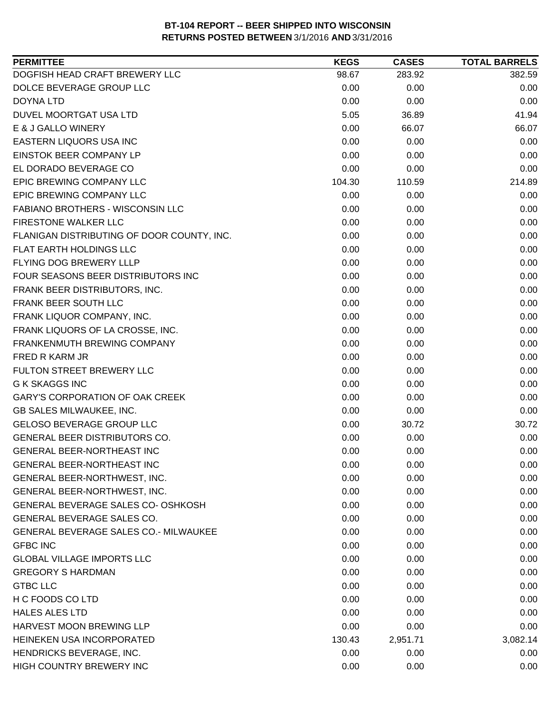| <b>PERMITTEE</b>                             | <b>KEGS</b> | <b>CASES</b> | <b>TOTAL BARRELS</b> |
|----------------------------------------------|-------------|--------------|----------------------|
| DOGFISH HEAD CRAFT BREWERY LLC               | 98.67       | 283.92       | 382.59               |
| DOLCE BEVERAGE GROUP LLC                     | 0.00        | 0.00         | 0.00                 |
| <b>DOYNA LTD</b>                             | 0.00        | 0.00         | 0.00                 |
| DUVEL MOORTGAT USA LTD                       | 5.05        | 36.89        | 41.94                |
| E & J GALLO WINERY                           | 0.00        | 66.07        | 66.07                |
| EASTERN LIQUORS USA INC                      | 0.00        | 0.00         | 0.00                 |
| EINSTOK BEER COMPANY LP                      | 0.00        | 0.00         | 0.00                 |
| EL DORADO BEVERAGE CO                        | 0.00        | 0.00         | 0.00                 |
| EPIC BREWING COMPANY LLC                     | 104.30      | 110.59       | 214.89               |
| EPIC BREWING COMPANY LLC                     | 0.00        | 0.00         | 0.00                 |
| FABIANO BROTHERS - WISCONSIN LLC             | 0.00        | 0.00         | 0.00                 |
| FIRESTONE WALKER LLC                         | 0.00        | 0.00         | 0.00                 |
| FLANIGAN DISTRIBUTING OF DOOR COUNTY, INC.   | 0.00        | 0.00         | 0.00                 |
| <b>FLAT EARTH HOLDINGS LLC</b>               | 0.00        | 0.00         | 0.00                 |
| FLYING DOG BREWERY LLLP                      | 0.00        | 0.00         | 0.00                 |
| FOUR SEASONS BEER DISTRIBUTORS INC           | 0.00        | 0.00         | 0.00                 |
| FRANK BEER DISTRIBUTORS, INC.                | 0.00        | 0.00         | 0.00                 |
| FRANK BEER SOUTH LLC                         | 0.00        | 0.00         | 0.00                 |
| FRANK LIQUOR COMPANY, INC.                   | 0.00        | 0.00         | 0.00                 |
| FRANK LIQUORS OF LA CROSSE, INC.             | 0.00        | 0.00         | 0.00                 |
| FRANKENMUTH BREWING COMPANY                  | 0.00        | 0.00         | 0.00                 |
| FRED R KARM JR                               | 0.00        | 0.00         | 0.00                 |
| FULTON STREET BREWERY LLC                    | 0.00        | 0.00         | 0.00                 |
| <b>G K SKAGGS INC</b>                        | 0.00        | 0.00         | 0.00                 |
| <b>GARY'S CORPORATION OF OAK CREEK</b>       | 0.00        | 0.00         | 0.00                 |
| GB SALES MILWAUKEE, INC.                     | 0.00        | 0.00         | 0.00                 |
| GELOSO BEVERAGE GROUP LLC                    | 0.00        | 30.72        | 30.72                |
| GENERAL BEER DISTRIBUTORS CO.                | 0.00        | 0.00         | 0.00                 |
| GENERAL BEER-NORTHEAST INC                   | 0.00        | 0.00         | 0.00                 |
| GENERAL BEER-NORTHEAST INC                   | 0.00        | 0.00         | 0.00                 |
| GENERAL BEER-NORTHWEST, INC.                 | 0.00        | 0.00         | 0.00                 |
| GENERAL BEER-NORTHWEST, INC.                 | 0.00        | 0.00         | 0.00                 |
| GENERAL BEVERAGE SALES CO- OSHKOSH           | 0.00        | 0.00         | 0.00                 |
| <b>GENERAL BEVERAGE SALES CO.</b>            | 0.00        | 0.00         | 0.00                 |
| <b>GENERAL BEVERAGE SALES CO.- MILWAUKEE</b> | 0.00        | 0.00         | 0.00                 |
| <b>GFBC INC</b>                              | 0.00        | 0.00         | 0.00                 |
| <b>GLOBAL VILLAGE IMPORTS LLC</b>            | 0.00        | 0.00         | 0.00                 |
| <b>GREGORY S HARDMAN</b>                     | 0.00        | 0.00         | 0.00                 |
| <b>GTBC LLC</b>                              | 0.00        | 0.00         | 0.00                 |
| H C FOODS CO LTD                             | 0.00        | 0.00         | 0.00                 |
| <b>HALES ALES LTD</b>                        | 0.00        | 0.00         | 0.00                 |
| HARVEST MOON BREWING LLP                     | 0.00        | 0.00         | 0.00                 |
| HEINEKEN USA INCORPORATED                    | 130.43      | 2,951.71     | 3,082.14             |
| HENDRICKS BEVERAGE, INC.                     | 0.00        | 0.00         | 0.00                 |
| HIGH COUNTRY BREWERY INC                     | 0.00        | 0.00         | 0.00                 |
|                                              |             |              |                      |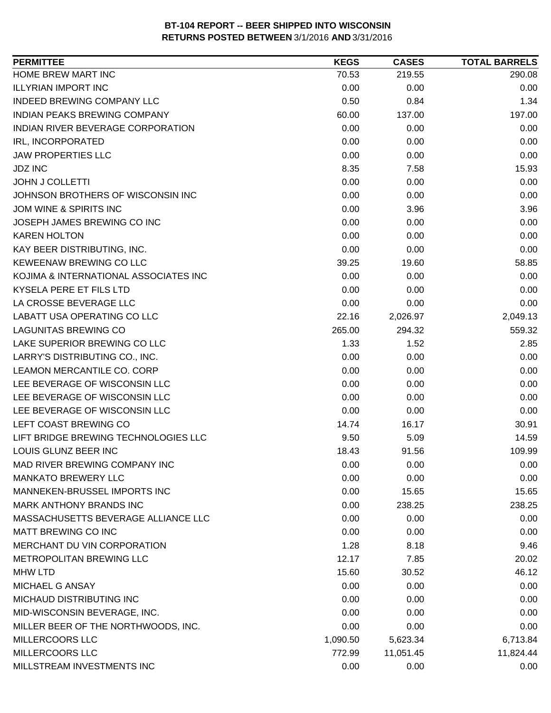| <b>PERMITTEE</b>                      | <b>KEGS</b> | <b>CASES</b> | <b>TOTAL BARRELS</b> |
|---------------------------------------|-------------|--------------|----------------------|
| HOME BREW MART INC                    | 70.53       | 219.55       | 290.08               |
| <b>ILLYRIAN IMPORT INC</b>            | 0.00        | 0.00         | 0.00                 |
| <b>INDEED BREWING COMPANY LLC</b>     | 0.50        | 0.84         | 1.34                 |
| <b>INDIAN PEAKS BREWING COMPANY</b>   | 60.00       | 137.00       | 197.00               |
| INDIAN RIVER BEVERAGE CORPORATION     | 0.00        | 0.00         | 0.00                 |
| IRL, INCORPORATED                     | 0.00        | 0.00         | 0.00                 |
| <b>JAW PROPERTIES LLC</b>             | 0.00        | 0.00         | 0.00                 |
| <b>JDZ INC</b>                        | 8.35        | 7.58         | 15.93                |
| <b>JOHN J COLLETTI</b>                | 0.00        | 0.00         | 0.00                 |
| JOHNSON BROTHERS OF WISCONSIN INC     | 0.00        | 0.00         | 0.00                 |
| JOM WINE & SPIRITS INC                | 0.00        | 3.96         | 3.96                 |
| JOSEPH JAMES BREWING CO INC           | 0.00        | 0.00         | 0.00                 |
| <b>KAREN HOLTON</b>                   | 0.00        | 0.00         | 0.00                 |
| KAY BEER DISTRIBUTING, INC.           | 0.00        | 0.00         | 0.00                 |
| KEWEENAW BREWING CO LLC               | 39.25       | 19.60        | 58.85                |
| KOJIMA & INTERNATIONAL ASSOCIATES INC | 0.00        | 0.00         | 0.00                 |
| <b>KYSELA PERE ET FILS LTD</b>        | 0.00        | 0.00         | 0.00                 |
| LA CROSSE BEVERAGE LLC                | 0.00        | 0.00         | 0.00                 |
| LABATT USA OPERATING CO LLC           | 22.16       | 2,026.97     | 2,049.13             |
| <b>LAGUNITAS BREWING CO</b>           | 265.00      | 294.32       | 559.32               |
| LAKE SUPERIOR BREWING CO LLC          | 1.33        | 1.52         | 2.85                 |
| LARRY'S DISTRIBUTING CO., INC.        | 0.00        | 0.00         | 0.00                 |
| LEAMON MERCANTILE CO. CORP            | 0.00        | 0.00         | 0.00                 |
| LEE BEVERAGE OF WISCONSIN LLC         | 0.00        | 0.00         | 0.00                 |
| LEE BEVERAGE OF WISCONSIN LLC         | 0.00        | 0.00         | 0.00                 |
| LEE BEVERAGE OF WISCONSIN LLC         | 0.00        | 0.00         | 0.00                 |
| LEFT COAST BREWING CO                 | 14.74       | 16.17        | 30.91                |
| LIFT BRIDGE BREWING TECHNOLOGIES LLC  | 9.50        | 5.09         | 14.59                |
| LOUIS GLUNZ BEER INC                  | 18.43       | 91.56        | 109.99               |
| MAD RIVER BREWING COMPANY INC         | 0.00        | 0.00         | 0.00                 |
| <b>MANKATO BREWERY LLC</b>            | 0.00        | 0.00         | 0.00                 |
| MANNEKEN-BRUSSEL IMPORTS INC          | 0.00        | 15.65        | 15.65                |
| <b>MARK ANTHONY BRANDS INC</b>        | 0.00        | 238.25       | 238.25               |
| MASSACHUSETTS BEVERAGE ALLIANCE LLC   | 0.00        | 0.00         | 0.00                 |
| <b>MATT BREWING CO INC</b>            | 0.00        | 0.00         | 0.00                 |
| MERCHANT DU VIN CORPORATION           | 1.28        | 8.18         | 9.46                 |
| METROPOLITAN BREWING LLC              | 12.17       | 7.85         | 20.02                |
| <b>MHW LTD</b>                        | 15.60       | 30.52        | 46.12                |
| MICHAEL G ANSAY                       | 0.00        | 0.00         | 0.00                 |
| MICHAUD DISTRIBUTING INC              | 0.00        | 0.00         | 0.00                 |
| MID-WISCONSIN BEVERAGE, INC.          | 0.00        | 0.00         | 0.00                 |
| MILLER BEER OF THE NORTHWOODS, INC.   | 0.00        | 0.00         | 0.00                 |
| <b>MILLERCOORS LLC</b>                | 1,090.50    | 5,623.34     | 6,713.84             |
| MILLERCOORS LLC                       | 772.99      | 11,051.45    | 11,824.44            |
| MILLSTREAM INVESTMENTS INC            | 0.00        | 0.00         | 0.00                 |
|                                       |             |              |                      |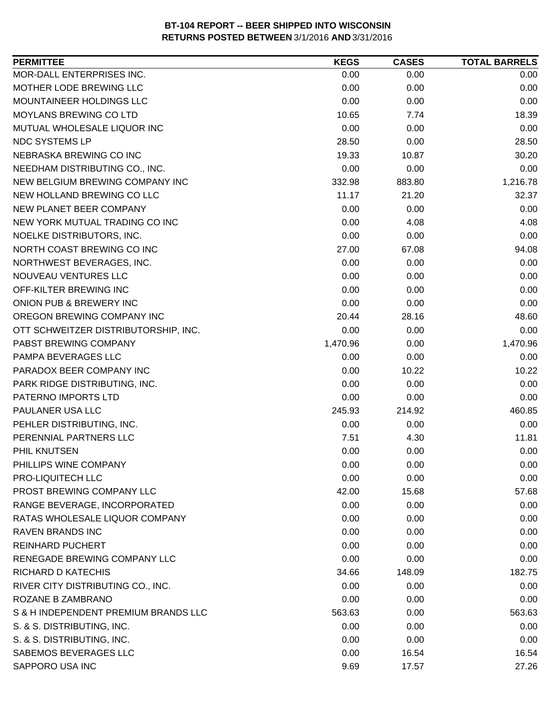| MOR-DALL ENTERPRISES INC.<br>0.00<br>0.00<br>0.00<br>MOTHER LODE BREWING LLC<br>0.00<br>0.00<br>0.00<br>MOUNTAINEER HOLDINGS LLC<br>0.00<br>0.00<br>0.00<br><b>MOYLANS BREWING CO LTD</b><br>10.65<br>7.74<br>18.39<br>0.00<br>MUTUAL WHOLESALE LIQUOR INC<br>0.00<br>0.00<br>NDC SYSTEMS LP<br>28.50<br>28.50<br>0.00<br>NEBRASKA BREWING CO INC<br>19.33<br>10.87<br>30.20<br>0.00<br>0.00<br>0.00<br>NEEDHAM DISTRIBUTING CO., INC.<br>NEW BELGIUM BREWING COMPANY INC<br>332.98<br>883.80<br>1,216.78<br>NEW HOLLAND BREWING CO LLC<br>32.37<br>11.17<br>21.20<br>NEW PLANET BEER COMPANY<br>0.00<br>0.00<br>0.00<br>0.00<br>NEW YORK MUTUAL TRADING CO INC<br>4.08<br>4.08<br>NOELKE DISTRIBUTORS, INC.<br>0.00<br>0.00<br>0.00<br>NORTH COAST BREWING CO INC<br>27.00<br>67.08<br>94.08<br>NORTHWEST BEVERAGES, INC.<br>0.00<br>0.00<br>0.00<br>NOUVEAU VENTURES LLC<br>0.00<br>0.00<br>0.00<br>0.00<br>OFF-KILTER BREWING INC<br>0.00<br>0.00<br>ONION PUB & BREWERY INC<br>0.00<br>0.00<br>0.00<br>OREGON BREWING COMPANY INC<br>20.44<br>28.16<br>48.60<br>0.00<br>OTT SCHWEITZER DISTRIBUTORSHIP, INC.<br>0.00<br>0.00<br>1,470.96<br>0.00<br>1,470.96<br>PABST BREWING COMPANY<br>PAMPA BEVERAGES LLC<br>0.00<br>0.00<br>0.00<br>PARADOX BEER COMPANY INC<br>0.00<br>10.22<br>10.22<br>PARK RIDGE DISTRIBUTING, INC.<br>0.00<br>0.00<br>0.00<br>0.00<br>PATERNO IMPORTS LTD<br>0.00<br>0.00<br>PAULANER USA LLC<br>245.93<br>214.92<br>460.85<br>PEHLER DISTRIBUTING, INC.<br>0.00<br>0.00<br>0.00<br>PERENNIAL PARTNERS LLC<br>7.51<br>4.30<br>11.81<br>0.00<br>0.00<br>PHIL KNUTSEN<br>0.00<br>PHILLIPS WINE COMPANY<br>0.00<br>0.00<br>0.00<br>PRO-LIQUITECH LLC<br>0.00<br>0.00<br>0.00<br>PROST BREWING COMPANY LLC<br>42.00<br>15.68<br>57.68<br>RANGE BEVERAGE, INCORPORATED<br>0.00<br>0.00<br>0.00<br>RATAS WHOLESALE LIQUOR COMPANY<br>0.00<br>0.00<br>0.00<br><b>RAVEN BRANDS INC</b><br>0.00<br>0.00<br>0.00<br><b>REINHARD PUCHERT</b><br>0.00<br>0.00<br>0.00<br>RENEGADE BREWING COMPANY LLC<br>0.00<br>0.00<br>0.00<br>RICHARD D KATECHIS<br>148.09<br>182.75<br>34.66<br>RIVER CITY DISTRIBUTING CO., INC.<br>0.00<br>0.00<br>0.00<br>ROZANE B ZAMBRANO<br>0.00<br>0.00<br>0.00<br>S & H INDEPENDENT PREMIUM BRANDS LLC<br>563.63<br>0.00<br>563.63<br>S. & S. DISTRIBUTING, INC.<br>0.00<br>0.00<br>0.00<br>S. & S. DISTRIBUTING, INC.<br>0.00<br>0.00<br>0.00<br>SABEMOS BEVERAGES LLC<br>0.00<br>16.54<br>16.54<br>SAPPORO USA INC<br>9.69<br>27.26<br>17.57 | <b>PERMITTEE</b> | <b>KEGS</b> | <b>CASES</b> | <b>TOTAL BARRELS</b> |
|---------------------------------------------------------------------------------------------------------------------------------------------------------------------------------------------------------------------------------------------------------------------------------------------------------------------------------------------------------------------------------------------------------------------------------------------------------------------------------------------------------------------------------------------------------------------------------------------------------------------------------------------------------------------------------------------------------------------------------------------------------------------------------------------------------------------------------------------------------------------------------------------------------------------------------------------------------------------------------------------------------------------------------------------------------------------------------------------------------------------------------------------------------------------------------------------------------------------------------------------------------------------------------------------------------------------------------------------------------------------------------------------------------------------------------------------------------------------------------------------------------------------------------------------------------------------------------------------------------------------------------------------------------------------------------------------------------------------------------------------------------------------------------------------------------------------------------------------------------------------------------------------------------------------------------------------------------------------------------------------------------------------------------------------------------------------------------------------------------------------------------------------------------------------------------------------------------------------------------------------------------------------------------------------------------------------------------------------------------------------------------------------------------------------------------------------------------------------------------------------|------------------|-------------|--------------|----------------------|
|                                                                                                                                                                                                                                                                                                                                                                                                                                                                                                                                                                                                                                                                                                                                                                                                                                                                                                                                                                                                                                                                                                                                                                                                                                                                                                                                                                                                                                                                                                                                                                                                                                                                                                                                                                                                                                                                                                                                                                                                                                                                                                                                                                                                                                                                                                                                                                                                                                                                                             |                  |             |              |                      |
|                                                                                                                                                                                                                                                                                                                                                                                                                                                                                                                                                                                                                                                                                                                                                                                                                                                                                                                                                                                                                                                                                                                                                                                                                                                                                                                                                                                                                                                                                                                                                                                                                                                                                                                                                                                                                                                                                                                                                                                                                                                                                                                                                                                                                                                                                                                                                                                                                                                                                             |                  |             |              |                      |
|                                                                                                                                                                                                                                                                                                                                                                                                                                                                                                                                                                                                                                                                                                                                                                                                                                                                                                                                                                                                                                                                                                                                                                                                                                                                                                                                                                                                                                                                                                                                                                                                                                                                                                                                                                                                                                                                                                                                                                                                                                                                                                                                                                                                                                                                                                                                                                                                                                                                                             |                  |             |              |                      |
|                                                                                                                                                                                                                                                                                                                                                                                                                                                                                                                                                                                                                                                                                                                                                                                                                                                                                                                                                                                                                                                                                                                                                                                                                                                                                                                                                                                                                                                                                                                                                                                                                                                                                                                                                                                                                                                                                                                                                                                                                                                                                                                                                                                                                                                                                                                                                                                                                                                                                             |                  |             |              |                      |
|                                                                                                                                                                                                                                                                                                                                                                                                                                                                                                                                                                                                                                                                                                                                                                                                                                                                                                                                                                                                                                                                                                                                                                                                                                                                                                                                                                                                                                                                                                                                                                                                                                                                                                                                                                                                                                                                                                                                                                                                                                                                                                                                                                                                                                                                                                                                                                                                                                                                                             |                  |             |              |                      |
|                                                                                                                                                                                                                                                                                                                                                                                                                                                                                                                                                                                                                                                                                                                                                                                                                                                                                                                                                                                                                                                                                                                                                                                                                                                                                                                                                                                                                                                                                                                                                                                                                                                                                                                                                                                                                                                                                                                                                                                                                                                                                                                                                                                                                                                                                                                                                                                                                                                                                             |                  |             |              |                      |
|                                                                                                                                                                                                                                                                                                                                                                                                                                                                                                                                                                                                                                                                                                                                                                                                                                                                                                                                                                                                                                                                                                                                                                                                                                                                                                                                                                                                                                                                                                                                                                                                                                                                                                                                                                                                                                                                                                                                                                                                                                                                                                                                                                                                                                                                                                                                                                                                                                                                                             |                  |             |              |                      |
|                                                                                                                                                                                                                                                                                                                                                                                                                                                                                                                                                                                                                                                                                                                                                                                                                                                                                                                                                                                                                                                                                                                                                                                                                                                                                                                                                                                                                                                                                                                                                                                                                                                                                                                                                                                                                                                                                                                                                                                                                                                                                                                                                                                                                                                                                                                                                                                                                                                                                             |                  |             |              |                      |
|                                                                                                                                                                                                                                                                                                                                                                                                                                                                                                                                                                                                                                                                                                                                                                                                                                                                                                                                                                                                                                                                                                                                                                                                                                                                                                                                                                                                                                                                                                                                                                                                                                                                                                                                                                                                                                                                                                                                                                                                                                                                                                                                                                                                                                                                                                                                                                                                                                                                                             |                  |             |              |                      |
|                                                                                                                                                                                                                                                                                                                                                                                                                                                                                                                                                                                                                                                                                                                                                                                                                                                                                                                                                                                                                                                                                                                                                                                                                                                                                                                                                                                                                                                                                                                                                                                                                                                                                                                                                                                                                                                                                                                                                                                                                                                                                                                                                                                                                                                                                                                                                                                                                                                                                             |                  |             |              |                      |
|                                                                                                                                                                                                                                                                                                                                                                                                                                                                                                                                                                                                                                                                                                                                                                                                                                                                                                                                                                                                                                                                                                                                                                                                                                                                                                                                                                                                                                                                                                                                                                                                                                                                                                                                                                                                                                                                                                                                                                                                                                                                                                                                                                                                                                                                                                                                                                                                                                                                                             |                  |             |              |                      |
|                                                                                                                                                                                                                                                                                                                                                                                                                                                                                                                                                                                                                                                                                                                                                                                                                                                                                                                                                                                                                                                                                                                                                                                                                                                                                                                                                                                                                                                                                                                                                                                                                                                                                                                                                                                                                                                                                                                                                                                                                                                                                                                                                                                                                                                                                                                                                                                                                                                                                             |                  |             |              |                      |
|                                                                                                                                                                                                                                                                                                                                                                                                                                                                                                                                                                                                                                                                                                                                                                                                                                                                                                                                                                                                                                                                                                                                                                                                                                                                                                                                                                                                                                                                                                                                                                                                                                                                                                                                                                                                                                                                                                                                                                                                                                                                                                                                                                                                                                                                                                                                                                                                                                                                                             |                  |             |              |                      |
|                                                                                                                                                                                                                                                                                                                                                                                                                                                                                                                                                                                                                                                                                                                                                                                                                                                                                                                                                                                                                                                                                                                                                                                                                                                                                                                                                                                                                                                                                                                                                                                                                                                                                                                                                                                                                                                                                                                                                                                                                                                                                                                                                                                                                                                                                                                                                                                                                                                                                             |                  |             |              |                      |
|                                                                                                                                                                                                                                                                                                                                                                                                                                                                                                                                                                                                                                                                                                                                                                                                                                                                                                                                                                                                                                                                                                                                                                                                                                                                                                                                                                                                                                                                                                                                                                                                                                                                                                                                                                                                                                                                                                                                                                                                                                                                                                                                                                                                                                                                                                                                                                                                                                                                                             |                  |             |              |                      |
|                                                                                                                                                                                                                                                                                                                                                                                                                                                                                                                                                                                                                                                                                                                                                                                                                                                                                                                                                                                                                                                                                                                                                                                                                                                                                                                                                                                                                                                                                                                                                                                                                                                                                                                                                                                                                                                                                                                                                                                                                                                                                                                                                                                                                                                                                                                                                                                                                                                                                             |                  |             |              |                      |
|                                                                                                                                                                                                                                                                                                                                                                                                                                                                                                                                                                                                                                                                                                                                                                                                                                                                                                                                                                                                                                                                                                                                                                                                                                                                                                                                                                                                                                                                                                                                                                                                                                                                                                                                                                                                                                                                                                                                                                                                                                                                                                                                                                                                                                                                                                                                                                                                                                                                                             |                  |             |              |                      |
|                                                                                                                                                                                                                                                                                                                                                                                                                                                                                                                                                                                                                                                                                                                                                                                                                                                                                                                                                                                                                                                                                                                                                                                                                                                                                                                                                                                                                                                                                                                                                                                                                                                                                                                                                                                                                                                                                                                                                                                                                                                                                                                                                                                                                                                                                                                                                                                                                                                                                             |                  |             |              |                      |
|                                                                                                                                                                                                                                                                                                                                                                                                                                                                                                                                                                                                                                                                                                                                                                                                                                                                                                                                                                                                                                                                                                                                                                                                                                                                                                                                                                                                                                                                                                                                                                                                                                                                                                                                                                                                                                                                                                                                                                                                                                                                                                                                                                                                                                                                                                                                                                                                                                                                                             |                  |             |              |                      |
|                                                                                                                                                                                                                                                                                                                                                                                                                                                                                                                                                                                                                                                                                                                                                                                                                                                                                                                                                                                                                                                                                                                                                                                                                                                                                                                                                                                                                                                                                                                                                                                                                                                                                                                                                                                                                                                                                                                                                                                                                                                                                                                                                                                                                                                                                                                                                                                                                                                                                             |                  |             |              |                      |
|                                                                                                                                                                                                                                                                                                                                                                                                                                                                                                                                                                                                                                                                                                                                                                                                                                                                                                                                                                                                                                                                                                                                                                                                                                                                                                                                                                                                                                                                                                                                                                                                                                                                                                                                                                                                                                                                                                                                                                                                                                                                                                                                                                                                                                                                                                                                                                                                                                                                                             |                  |             |              |                      |
|                                                                                                                                                                                                                                                                                                                                                                                                                                                                                                                                                                                                                                                                                                                                                                                                                                                                                                                                                                                                                                                                                                                                                                                                                                                                                                                                                                                                                                                                                                                                                                                                                                                                                                                                                                                                                                                                                                                                                                                                                                                                                                                                                                                                                                                                                                                                                                                                                                                                                             |                  |             |              |                      |
|                                                                                                                                                                                                                                                                                                                                                                                                                                                                                                                                                                                                                                                                                                                                                                                                                                                                                                                                                                                                                                                                                                                                                                                                                                                                                                                                                                                                                                                                                                                                                                                                                                                                                                                                                                                                                                                                                                                                                                                                                                                                                                                                                                                                                                                                                                                                                                                                                                                                                             |                  |             |              |                      |
|                                                                                                                                                                                                                                                                                                                                                                                                                                                                                                                                                                                                                                                                                                                                                                                                                                                                                                                                                                                                                                                                                                                                                                                                                                                                                                                                                                                                                                                                                                                                                                                                                                                                                                                                                                                                                                                                                                                                                                                                                                                                                                                                                                                                                                                                                                                                                                                                                                                                                             |                  |             |              |                      |
|                                                                                                                                                                                                                                                                                                                                                                                                                                                                                                                                                                                                                                                                                                                                                                                                                                                                                                                                                                                                                                                                                                                                                                                                                                                                                                                                                                                                                                                                                                                                                                                                                                                                                                                                                                                                                                                                                                                                                                                                                                                                                                                                                                                                                                                                                                                                                                                                                                                                                             |                  |             |              |                      |
|                                                                                                                                                                                                                                                                                                                                                                                                                                                                                                                                                                                                                                                                                                                                                                                                                                                                                                                                                                                                                                                                                                                                                                                                                                                                                                                                                                                                                                                                                                                                                                                                                                                                                                                                                                                                                                                                                                                                                                                                                                                                                                                                                                                                                                                                                                                                                                                                                                                                                             |                  |             |              |                      |
|                                                                                                                                                                                                                                                                                                                                                                                                                                                                                                                                                                                                                                                                                                                                                                                                                                                                                                                                                                                                                                                                                                                                                                                                                                                                                                                                                                                                                                                                                                                                                                                                                                                                                                                                                                                                                                                                                                                                                                                                                                                                                                                                                                                                                                                                                                                                                                                                                                                                                             |                  |             |              |                      |
|                                                                                                                                                                                                                                                                                                                                                                                                                                                                                                                                                                                                                                                                                                                                                                                                                                                                                                                                                                                                                                                                                                                                                                                                                                                                                                                                                                                                                                                                                                                                                                                                                                                                                                                                                                                                                                                                                                                                                                                                                                                                                                                                                                                                                                                                                                                                                                                                                                                                                             |                  |             |              |                      |
|                                                                                                                                                                                                                                                                                                                                                                                                                                                                                                                                                                                                                                                                                                                                                                                                                                                                                                                                                                                                                                                                                                                                                                                                                                                                                                                                                                                                                                                                                                                                                                                                                                                                                                                                                                                                                                                                                                                                                                                                                                                                                                                                                                                                                                                                                                                                                                                                                                                                                             |                  |             |              |                      |
|                                                                                                                                                                                                                                                                                                                                                                                                                                                                                                                                                                                                                                                                                                                                                                                                                                                                                                                                                                                                                                                                                                                                                                                                                                                                                                                                                                                                                                                                                                                                                                                                                                                                                                                                                                                                                                                                                                                                                                                                                                                                                                                                                                                                                                                                                                                                                                                                                                                                                             |                  |             |              |                      |
|                                                                                                                                                                                                                                                                                                                                                                                                                                                                                                                                                                                                                                                                                                                                                                                                                                                                                                                                                                                                                                                                                                                                                                                                                                                                                                                                                                                                                                                                                                                                                                                                                                                                                                                                                                                                                                                                                                                                                                                                                                                                                                                                                                                                                                                                                                                                                                                                                                                                                             |                  |             |              |                      |
|                                                                                                                                                                                                                                                                                                                                                                                                                                                                                                                                                                                                                                                                                                                                                                                                                                                                                                                                                                                                                                                                                                                                                                                                                                                                                                                                                                                                                                                                                                                                                                                                                                                                                                                                                                                                                                                                                                                                                                                                                                                                                                                                                                                                                                                                                                                                                                                                                                                                                             |                  |             |              |                      |
|                                                                                                                                                                                                                                                                                                                                                                                                                                                                                                                                                                                                                                                                                                                                                                                                                                                                                                                                                                                                                                                                                                                                                                                                                                                                                                                                                                                                                                                                                                                                                                                                                                                                                                                                                                                                                                                                                                                                                                                                                                                                                                                                                                                                                                                                                                                                                                                                                                                                                             |                  |             |              |                      |
|                                                                                                                                                                                                                                                                                                                                                                                                                                                                                                                                                                                                                                                                                                                                                                                                                                                                                                                                                                                                                                                                                                                                                                                                                                                                                                                                                                                                                                                                                                                                                                                                                                                                                                                                                                                                                                                                                                                                                                                                                                                                                                                                                                                                                                                                                                                                                                                                                                                                                             |                  |             |              |                      |
|                                                                                                                                                                                                                                                                                                                                                                                                                                                                                                                                                                                                                                                                                                                                                                                                                                                                                                                                                                                                                                                                                                                                                                                                                                                                                                                                                                                                                                                                                                                                                                                                                                                                                                                                                                                                                                                                                                                                                                                                                                                                                                                                                                                                                                                                                                                                                                                                                                                                                             |                  |             |              |                      |
|                                                                                                                                                                                                                                                                                                                                                                                                                                                                                                                                                                                                                                                                                                                                                                                                                                                                                                                                                                                                                                                                                                                                                                                                                                                                                                                                                                                                                                                                                                                                                                                                                                                                                                                                                                                                                                                                                                                                                                                                                                                                                                                                                                                                                                                                                                                                                                                                                                                                                             |                  |             |              |                      |
|                                                                                                                                                                                                                                                                                                                                                                                                                                                                                                                                                                                                                                                                                                                                                                                                                                                                                                                                                                                                                                                                                                                                                                                                                                                                                                                                                                                                                                                                                                                                                                                                                                                                                                                                                                                                                                                                                                                                                                                                                                                                                                                                                                                                                                                                                                                                                                                                                                                                                             |                  |             |              |                      |
|                                                                                                                                                                                                                                                                                                                                                                                                                                                                                                                                                                                                                                                                                                                                                                                                                                                                                                                                                                                                                                                                                                                                                                                                                                                                                                                                                                                                                                                                                                                                                                                                                                                                                                                                                                                                                                                                                                                                                                                                                                                                                                                                                                                                                                                                                                                                                                                                                                                                                             |                  |             |              |                      |
|                                                                                                                                                                                                                                                                                                                                                                                                                                                                                                                                                                                                                                                                                                                                                                                                                                                                                                                                                                                                                                                                                                                                                                                                                                                                                                                                                                                                                                                                                                                                                                                                                                                                                                                                                                                                                                                                                                                                                                                                                                                                                                                                                                                                                                                                                                                                                                                                                                                                                             |                  |             |              |                      |
|                                                                                                                                                                                                                                                                                                                                                                                                                                                                                                                                                                                                                                                                                                                                                                                                                                                                                                                                                                                                                                                                                                                                                                                                                                                                                                                                                                                                                                                                                                                                                                                                                                                                                                                                                                                                                                                                                                                                                                                                                                                                                                                                                                                                                                                                                                                                                                                                                                                                                             |                  |             |              |                      |
|                                                                                                                                                                                                                                                                                                                                                                                                                                                                                                                                                                                                                                                                                                                                                                                                                                                                                                                                                                                                                                                                                                                                                                                                                                                                                                                                                                                                                                                                                                                                                                                                                                                                                                                                                                                                                                                                                                                                                                                                                                                                                                                                                                                                                                                                                                                                                                                                                                                                                             |                  |             |              |                      |
|                                                                                                                                                                                                                                                                                                                                                                                                                                                                                                                                                                                                                                                                                                                                                                                                                                                                                                                                                                                                                                                                                                                                                                                                                                                                                                                                                                                                                                                                                                                                                                                                                                                                                                                                                                                                                                                                                                                                                                                                                                                                                                                                                                                                                                                                                                                                                                                                                                                                                             |                  |             |              |                      |
|                                                                                                                                                                                                                                                                                                                                                                                                                                                                                                                                                                                                                                                                                                                                                                                                                                                                                                                                                                                                                                                                                                                                                                                                                                                                                                                                                                                                                                                                                                                                                                                                                                                                                                                                                                                                                                                                                                                                                                                                                                                                                                                                                                                                                                                                                                                                                                                                                                                                                             |                  |             |              |                      |
|                                                                                                                                                                                                                                                                                                                                                                                                                                                                                                                                                                                                                                                                                                                                                                                                                                                                                                                                                                                                                                                                                                                                                                                                                                                                                                                                                                                                                                                                                                                                                                                                                                                                                                                                                                                                                                                                                                                                                                                                                                                                                                                                                                                                                                                                                                                                                                                                                                                                                             |                  |             |              |                      |
|                                                                                                                                                                                                                                                                                                                                                                                                                                                                                                                                                                                                                                                                                                                                                                                                                                                                                                                                                                                                                                                                                                                                                                                                                                                                                                                                                                                                                                                                                                                                                                                                                                                                                                                                                                                                                                                                                                                                                                                                                                                                                                                                                                                                                                                                                                                                                                                                                                                                                             |                  |             |              |                      |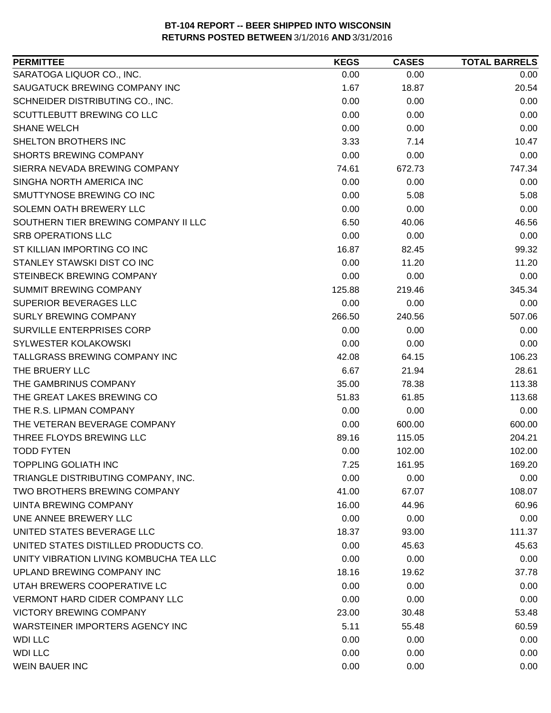| <b>PERMITTEE</b>                        | <b>KEGS</b> | <b>CASES</b> | <b>TOTAL BARRELS</b> |
|-----------------------------------------|-------------|--------------|----------------------|
| SARATOGA LIQUOR CO., INC.               | 0.00        | 0.00         | 0.00                 |
| SAUGATUCK BREWING COMPANY INC           | 1.67        | 18.87        | 20.54                |
| SCHNEIDER DISTRIBUTING CO., INC.        | 0.00        | 0.00         | 0.00                 |
| SCUTTLEBUTT BREWING CO LLC              | 0.00        | 0.00         | 0.00                 |
| <b>SHANE WELCH</b>                      | 0.00        | 0.00         | 0.00                 |
| SHELTON BROTHERS INC                    | 3.33        | 7.14         | 10.47                |
| <b>SHORTS BREWING COMPANY</b>           | 0.00        | 0.00         | 0.00                 |
| SIERRA NEVADA BREWING COMPANY           | 74.61       | 672.73       | 747.34               |
| SINGHA NORTH AMERICA INC                | 0.00        | 0.00         | 0.00                 |
| SMUTTYNOSE BREWING CO INC               | 0.00        | 5.08         | 5.08                 |
| SOLEMN OATH BREWERY LLC                 | 0.00        | 0.00         | 0.00                 |
| SOUTHERN TIER BREWING COMPANY II LLC    | 6.50        | 40.06        | 46.56                |
| SRB OPERATIONS LLC                      | 0.00        | 0.00         | 0.00                 |
| ST KILLIAN IMPORTING CO INC             | 16.87       | 82.45        | 99.32                |
| STANLEY STAWSKI DIST CO INC             | 0.00        | 11.20        | 11.20                |
| STEINBECK BREWING COMPANY               | 0.00        | 0.00         | 0.00                 |
| SUMMIT BREWING COMPANY                  | 125.88      | 219.46       | 345.34               |
| <b>SUPERIOR BEVERAGES LLC</b>           | 0.00        | 0.00         | 0.00                 |
| SURLY BREWING COMPANY                   | 266.50      | 240.56       | 507.06               |
| <b>SURVILLE ENTERPRISES CORP</b>        | 0.00        | 0.00         | 0.00                 |
| SYLWESTER KOLAKOWSKI                    | 0.00        | 0.00         | 0.00                 |
| TALLGRASS BREWING COMPANY INC           | 42.08       | 64.15        | 106.23               |
| THE BRUERY LLC                          | 6.67        | 21.94        | 28.61                |
| THE GAMBRINUS COMPANY                   | 35.00       | 78.38        | 113.38               |
| THE GREAT LAKES BREWING CO              | 51.83       | 61.85        | 113.68               |
| THE R.S. LIPMAN COMPANY                 | 0.00        | 0.00         | 0.00                 |
| THE VETERAN BEVERAGE COMPANY            | 0.00        | 600.00       | 600.00               |
| THREE FLOYDS BREWING LLC                | 89.16       | 115.05       | 204.21               |
| <b>TODD FYTEN</b>                       | 0.00        | 102.00       | 102.00               |
| <b>TOPPLING GOLIATH INC</b>             | 7.25        | 161.95       | 169.20               |
| TRIANGLE DISTRIBUTING COMPANY, INC.     | 0.00        | 0.00         | 0.00                 |
| TWO BROTHERS BREWING COMPANY            | 41.00       | 67.07        | 108.07               |
| UINTA BREWING COMPANY                   | 16.00       | 44.96        | 60.96                |
| UNE ANNEE BREWERY LLC                   | 0.00        | 0.00         | 0.00                 |
| UNITED STATES BEVERAGE LLC              | 18.37       | 93.00        | 111.37               |
| UNITED STATES DISTILLED PRODUCTS CO.    | 0.00        | 45.63        | 45.63                |
| UNITY VIBRATION LIVING KOMBUCHA TEA LLC | 0.00        | 0.00         | 0.00                 |
| UPLAND BREWING COMPANY INC              | 18.16       | 19.62        | 37.78                |
| UTAH BREWERS COOPERATIVE LC             | 0.00        | 0.00         | 0.00                 |
| <b>VERMONT HARD CIDER COMPANY LLC</b>   | 0.00        | 0.00         | 0.00                 |
| <b>VICTORY BREWING COMPANY</b>          | 23.00       | 30.48        | 53.48                |
| WARSTEINER IMPORTERS AGENCY INC         | 5.11        | 55.48        | 60.59                |
| <b>WDI LLC</b>                          | 0.00        | 0.00         | 0.00                 |
| <b>WDI LLC</b>                          | 0.00        | 0.00         | 0.00                 |
| <b>WEIN BAUER INC</b>                   | 0.00        | 0.00         | 0.00                 |